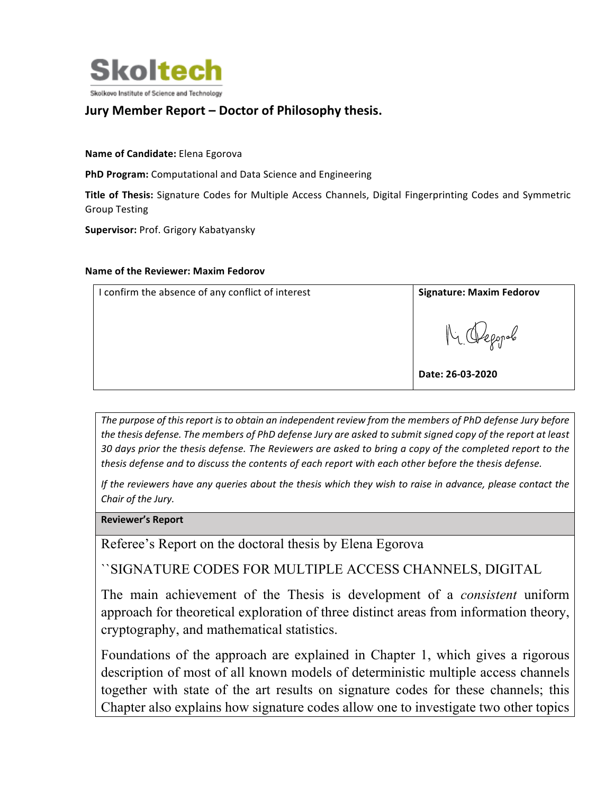

## **Jury Member Report – Doctor of Philosophy thesis.**

**Name of Candidate:** Elena Egorova

**PhD Program:** Computational and Data Science and Engineering

**Title of Thesis:** Signature Codes for Multiple Access Channels, Digital Fingerprinting Codes and Symmetric Group Testing

**Supervisor: Prof. Grigory Kabatyansky** 

## **Name of the Reviewer: Maxim Fedorov**

| I confirm the absence of any conflict of interest | <b>Signature: Maxim Fedorov</b> |
|---------------------------------------------------|---------------------------------|
|                                                   | $N_{\mathcal{L}}$               |
|                                                   | Date: 26-03-2020                |

The purpose of this report is to obtain an independent review from the members of PhD defense Jury before *the thesis defense. The members of PhD defense Jury are asked to submit signed copy of the report at least* 30 days prior the thesis defense. The Reviewers are asked to bring a copy of the completed report to the *thesis* defense and to discuss the contents of each report with each other before the thesis defense.

*If* the reviewers have any queries about the thesis which they wish to raise in advance, please contact the *Chair of the Jury.*

**Reviewer's Report**

Referee's Report on the doctoral thesis by Elena Egorova

``SIGNATURE CODES FOR MULTIPLE ACCESS CHANNELS, DIGITAL

The main achievement of the Thesis is development of a *consistent* uniform approach for theoretical exploration of three distinct areas from information theory, cryptography, and mathematical statistics.

Foundations of the approach are explained in Chapter 1, which gives a rigorous description of most of all known models of deterministic multiple access channels together with state of the art results on signature codes for these channels; this Chapter also explains how signature codes allow one to investigate two other topics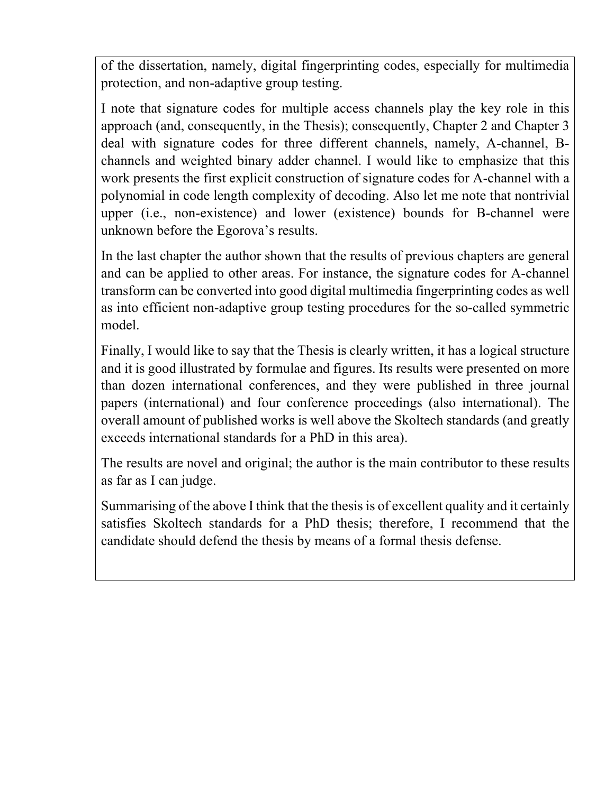of the dissertation, namely, digital fingerprinting codes, especially for multimedia protection, and non-adaptive group testing.

I note that signature codes for multiple access channels play the key role in this approach (and, consequently, in the Thesis); consequently, Chapter 2 and Chapter 3 deal with signature codes for three different channels, namely, A-channel, Bchannels and weighted binary adder channel. I would like to emphasize that this work presents the first explicit construction of signature codes for A-channel with a polynomial in code length complexity of decoding. Also let me note that nontrivial upper (i.e., non-existence) and lower (existence) bounds for B-channel were unknown before the Egorova's results.

In the last chapter the author shown that the results of previous chapters are general and can be applied to other areas. For instance, the signature codes for A-channel transform can be converted into good digital multimedia fingerprinting codes as well as into efficient non-adaptive group testing procedures for the so-called symmetric model.

Finally, I would like to say that the Thesis is clearly written, it has a logical structure and it is good illustrated by formulae and figures. Its results were presented on more than dozen international conferences, and they were published in three journal papers (international) and four conference proceedings (also international). The overall amount of published works is well above the Skoltech standards (and greatly exceeds international standards for a PhD in this area).

The results are novel and original; the author is the main contributor to these results as far as I can judge.

Summarising of the above I think that the thesis is of excellent quality and it certainly satisfies Skoltech standards for a PhD thesis; therefore, I recommend that the candidate should defend the thesis by means of a formal thesis defense.